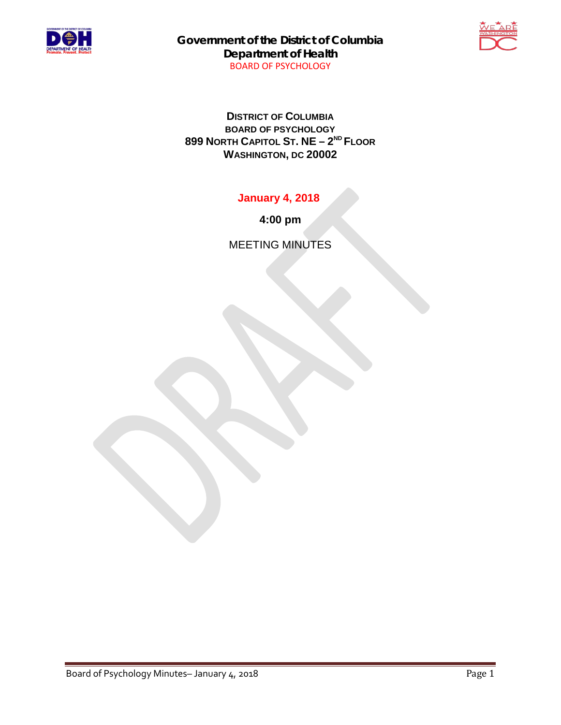

**Government of the District of Columbia Department of Health** BOARD OF PSYCHOLOGY



**DISTRICT OF COLUMBIA BOARD OF PSYCHOLOGY 899 NORTH CAPITOL ST. NE – 2ND FLOOR WASHINGTON, DC 20002**

**January 4, 2018**

**4:00 pm**

MEETING MINUTES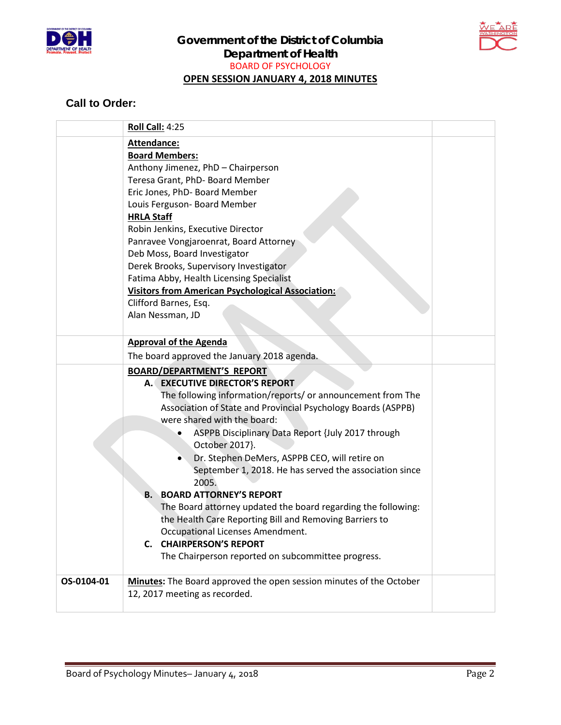



## **Call to Order:**

|            | <b>Roll Call: 4:25</b>                                                                                                                                                                                                                                                                                                                                                                                                                                                                                                                                                                                                                                                                                                                   |  |
|------------|------------------------------------------------------------------------------------------------------------------------------------------------------------------------------------------------------------------------------------------------------------------------------------------------------------------------------------------------------------------------------------------------------------------------------------------------------------------------------------------------------------------------------------------------------------------------------------------------------------------------------------------------------------------------------------------------------------------------------------------|--|
|            | Attendance:<br><b>Board Members:</b><br>Anthony Jimenez, PhD - Chairperson<br>Teresa Grant, PhD- Board Member<br>Eric Jones, PhD- Board Member<br>Louis Ferguson- Board Member<br><b>HRLA Staff</b><br>Robin Jenkins, Executive Director<br>Panravee Vongjaroenrat, Board Attorney<br>Deb Moss, Board Investigator<br>Derek Brooks, Supervisory Investigator<br>Fatima Abby, Health Licensing Specialist                                                                                                                                                                                                                                                                                                                                 |  |
|            | <b>Visitors from American Psychological Association:</b><br>Clifford Barnes, Esq.<br>Alan Nessman, JD                                                                                                                                                                                                                                                                                                                                                                                                                                                                                                                                                                                                                                    |  |
|            | <b>Approval of the Agenda</b><br>The board approved the January 2018 agenda.                                                                                                                                                                                                                                                                                                                                                                                                                                                                                                                                                                                                                                                             |  |
|            | <b>BOARD/DEPARTMENT'S REPORT</b><br><b>EXECUTIVE DIRECTOR'S REPORT</b><br>A. J<br>The following information/reports/ or announcement from The<br>Association of State and Provincial Psychology Boards (ASPPB)<br>were shared with the board:<br>ASPPB Disciplinary Data Report {July 2017 through<br>October 2017}.<br>Dr. Stephen DeMers, ASPPB CEO, will retire on<br>September 1, 2018. He has served the association since<br>2005.<br><b>BOARD ATTORNEY'S REPORT</b><br>Β.<br>The Board attorney updated the board regarding the following:<br>the Health Care Reporting Bill and Removing Barriers to<br>Occupational Licenses Amendment.<br><b>C. CHAIRPERSON'S REPORT</b><br>The Chairperson reported on subcommittee progress. |  |
| OS-0104-01 | Minutes: The Board approved the open session minutes of the October<br>12, 2017 meeting as recorded.                                                                                                                                                                                                                                                                                                                                                                                                                                                                                                                                                                                                                                     |  |